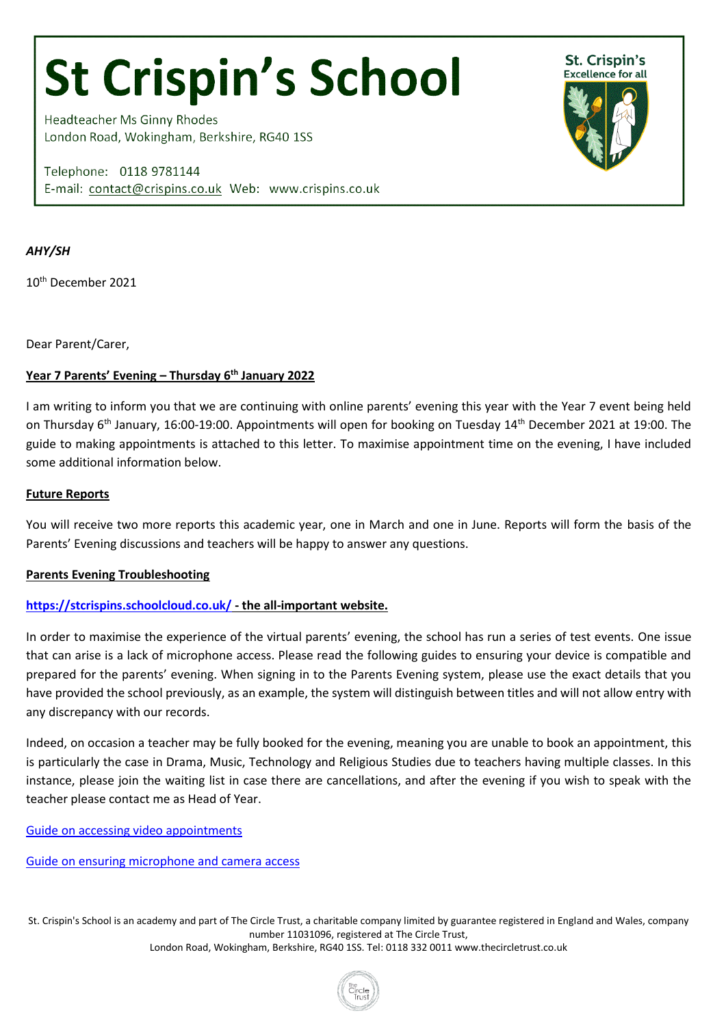# **St Crispin's School**

**Headteacher Ms Ginny Rhodes** London Road, Wokingham, Berkshire, RG40 1SS

Telephone: 0118 9781144 E-mail: contact@crispins.co.uk Web: www.crispins.co.uk



# *AHY/SH*

10th December 2021

Dear Parent/Carer,

# **Year 7 Parents' Evening – Thursday 6th January 2022**

I am writing to inform you that we are continuing with online parents' evening this year with the Year 7 event being held on Thursday 6<sup>th</sup> January, 16:00-19:00. Appointments will open for booking on Tuesday 14<sup>th</sup> December 2021 at 19:00. The guide to making appointments is attached to this letter. To maximise appointment time on the evening, I have included some additional information below.

### **Future Reports**

You will receive two more reports this academic year, one in March and one in June. Reports will form the basis of the Parents' Evening discussions and teachers will be happy to answer any questions.

# **Parents Evening Troubleshooting**

# **<https://stcrispins.schoolcloud.co.uk/> - the all-important website.**

In order to maximise the experience of the virtual parents' evening, the school has run a series of test events. One issue that can arise is a lack of microphone access. Please read the following guides to ensuring your device is compatible and prepared for the parents' evening. When signing in to the Parents Evening system, please use the exact details that you have provided the school previously, as an example, the system will distinguish between titles and will not allow entry with any discrepancy with our records.

Indeed, on occasion a teacher may be fully booked for the evening, meaning you are unable to book an appointment, this is particularly the case in Drama, Music, Technology and Religious Studies due to teachers having multiple classes. In this instance, please join the waiting list in case there are cancellations, and after the evening if you wish to speak with the teacher please contact me as Head of Year.

[Guide on accessing video appointments](https://support.parentseveningsystem.co.uk/article/801-video-parents-how-to-attend-appointments-over-video-call)

[Guide on ensuring microphone and camera access](https://support.parentseveningsystem.co.uk/article/807-video-troubleshooting-camera-and-microphone-access)

St. Crispin's School is an academy and part of The Circle Trust, a charitable company limited by guarantee registered in England and Wales, company number 11031096, registered at The Circle Trust, London Road, Wokingham, Berkshire, RG40 1SS. Tel: 0118 332 0011 [www.thecircletrust.co.uk](http://www.thecircletrust.co.uk/)